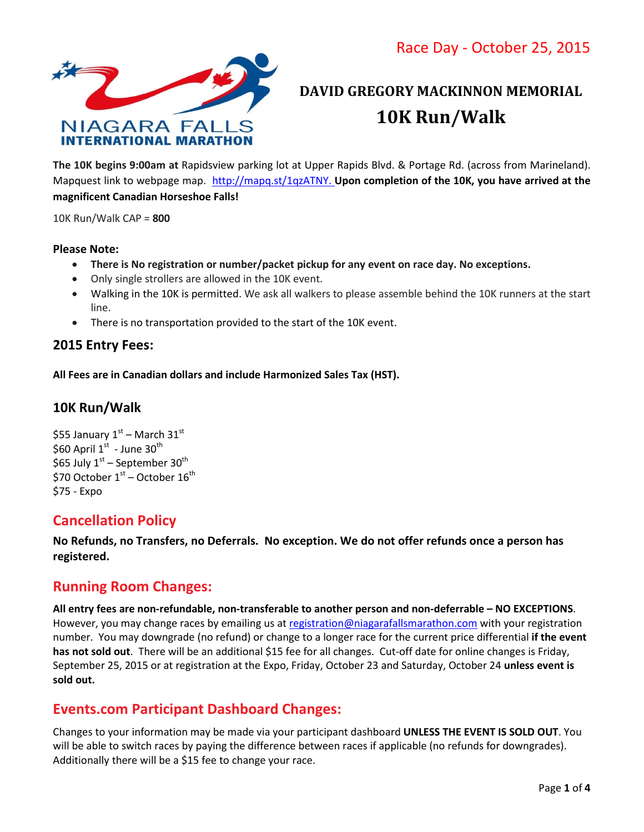Race Day - October 25, 2015



# **DAVID GREGORY MACKINNON MEMORIAL 10K Run/Walk**

**The 10K begins 9:00am at** Rapidsview parking lot at Upper Rapids Blvd. & Portage Rd. (across from Marineland). Mapquest link to webpage map. [http://mapq.st/1qzATNY.](http://mapq.st/1qzATNY) **Upon completion of the 10K, you have arrived at the magnificent Canadian Horseshoe Falls!**

10K Run/Walk CAP = **800** 

#### **Please Note:**

- **There is No registration or number/packet pickup for any event on race day. No exceptions.**
- Only single strollers are allowed in the 10K event.
- Walking in the 10K is permitted. We ask all walkers to please assemble behind the 10K runners at the start line.
- There is no transportation provided to the start of the 10K event.

### **2015 Entry Fees:**

**All Fees are in Canadian dollars and include Harmonized Sales Tax (HST).** 

### **10K Run/Walk**

\$55 January  $1<sup>st</sup>$  – March 31st \$60 April  $1^{\text{st}}$  - June 30<sup>th</sup> \$65 July  $1<sup>st</sup>$  – September 30<sup>th</sup> \$70 October  $1<sup>st</sup>$  – October  $16<sup>th</sup>$ \$75 - Expo

### **Cancellation Policy**

**No Refunds, no Transfers, no Deferrals. No exception. We do not offer refunds once a person has registered.** 

### **Running Room Changes:**

**All entry fees are non-refundable, non-transferable to another person and non-deferrable – NO EXCEPTIONS**. However, you may change races by emailing us at [registration@niagarafallsmarathon.com](mailto:registration@niagarafallsmarathon.com) with your registration number. You may downgrade (no refund) or change to a longer race for the current price differential **if the event**  has not sold out. There will be an additional \$15 fee for all changes. Cut-off date for online changes is Friday, September 25, 2015 or at registration at the Expo, Friday, October 23 and Saturday, October 24 **unless event is sold out.**

### **Events.com Participant Dashboard Changes:**

Changes to your information may be made via your participant dashboard **UNLESS THE EVENT IS SOLD OUT**. You will be able to switch races by paying the difference between races if applicable (no refunds for downgrades). Additionally there will be a \$15 fee to change your race.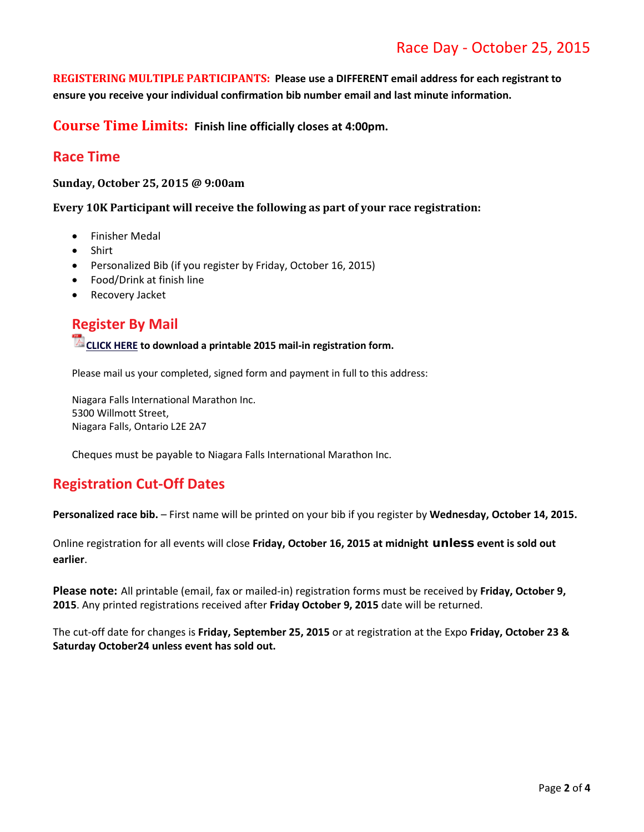# Race Day - October 25, 2015

**REGISTERING MULTIPLE PARTICIPANTS: Please use a DIFFERENT email address for each registrant to ensure you receive your individual confirmation bib number email and last minute information.**

**Course Time Limits: Finish line officially closes at 4:00pm.**

### **Race Time**

**Sunday, October 25, 2015 @ 9:00am**

**Every 10K Participant will receive the following as part of your race registration:**

- Finisher Medal
- Shirt
- Personalized Bib (if you register by Friday, October 16, 2015)
- Food/Drink at finish line
- Recovery Jacket

### **Register By Mail**

**CLICK HERE to download a printable 2015 mail-in registration form.**

Please mail us your completed, signed form and payment in full to this address:

Niagara Falls International Marathon Inc. 5300 Willmott Street, Niagara Falls, Ontario L2E 2A7

Cheques must be payable to Niagara Falls International Marathon Inc.

### **Registration Cut-Off Dates**

**Personalized race bib.** – First name will be printed on your bib if you register by **Wednesday, October 14, 2015.**

Online registration for all events will close **Friday, October 16, 2015 at midnight unless event is sold out earlier**.

**Please note:** All printable (email, fax or mailed-in) registration forms must be received by **Friday, October 9, 2015**. Any printed registrations received after **Friday October 9, 2015** date will be returned.

The cut-off date for changes is **Friday, September 25, 2015** or at registration at the Expo **Friday, October 23 & Saturday October24 unless event has sold out.**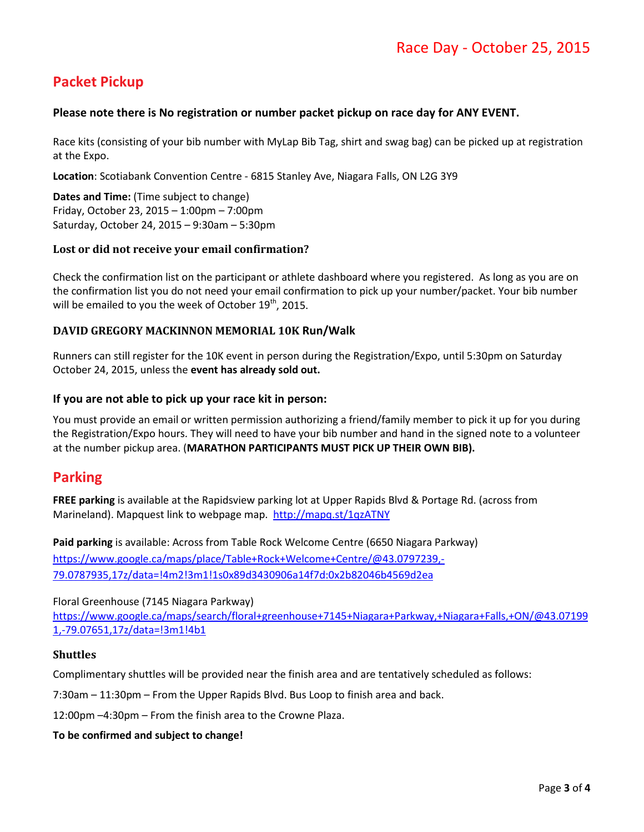# **Packet Pickup**

#### **Please note there is No registration or number packet pickup on race day for ANY EVENT.**

Race kits (consisting of your bib number with MyLap Bib Tag, shirt and swag bag) can be picked up at registration at the Expo.

**Location**: Scotiabank Convention Centre - 6815 Stanley Ave, Niagara Falls, ON L2G 3Y9

**Dates and Time:** (Time subject to change) Friday, October 23, 2015 – 1:00pm – 7:00pm Saturday, October 24, 2015 – 9:30am – 5:30pm

#### **Lost or did not receive your email confirmation?**

Check the confirmation list on the participant or athlete dashboard where you registered. As long as you are on the confirmation list you do not need your email confirmation to pick up your number/packet. Your bib number will be emailed to you the week of October 19<sup>th</sup>, 2015.

#### **DAVID GREGORY MACKINNON MEMORIAL 10K Run/Walk**

Runners can still register for the 10K event in person during the Registration/Expo, until 5:30pm on Saturday October 24, 2015, unless the **event has already sold out.**

#### **If you are not able to pick up your race kit in person:**

You must provide an email or written permission authorizing a friend/family member to pick it up for you during the Registration/Expo hours. They will need to have your bib number and hand in the signed note to a volunteer at the number pickup area. (**MARATHON PARTICIPANTS MUST PICK UP THEIR OWN BIB).**

### **Parking**

**FREE parking** is available at the Rapidsview parking lot at Upper Rapids Blvd & Portage Rd. (across from Marineland). Mapquest link to webpage map. <http://mapq.st/1qzATNY>

**Paid parking** is available: Across from Table Rock Welcome Centre (6650 Niagara Parkway) [https://www.google.ca/maps/place/Table+Rock+Welcome+Centre/@43.0797239,-](https://www.google.ca/maps/place/Table+Rock+Welcome+Centre/@43.0797239,-79.0787935,17z/data=!4m2!3m1!1s0x89d3430906a14f7d:0x2b82046b4569d2ea) [79.0787935,17z/data=!4m2!3m1!1s0x89d3430906a14f7d:0x2b82046b4569d2ea](https://www.google.ca/maps/place/Table+Rock+Welcome+Centre/@43.0797239,-79.0787935,17z/data=!4m2!3m1!1s0x89d3430906a14f7d:0x2b82046b4569d2ea)

#### Floral Greenhouse (7145 Niagara Parkway)

[https://www.google.ca/maps/search/floral+greenhouse+7145+Niagara+Parkway,+Niagara+Falls,+ON/@43.07199](https://www.google.ca/maps/search/floral+greenhouse+7145+Niagara+Parkway,+Niagara+Falls,+ON/@43.071991,-79.07651,17z/data=!3m1!4b1) [1,-79.07651,17z/data=!3m1!4b1](https://www.google.ca/maps/search/floral+greenhouse+7145+Niagara+Parkway,+Niagara+Falls,+ON/@43.071991,-79.07651,17z/data=!3m1!4b1)

#### **Shuttles**

Complimentary shuttles will be provided near the finish area and are tentatively scheduled as follows:

7:30am – 11:30pm – From the Upper Rapids Blvd. Bus Loop to finish area and back.

12:00pm –4:30pm – From the finish area to the Crowne Plaza.

#### **To be confirmed and subject to change!**